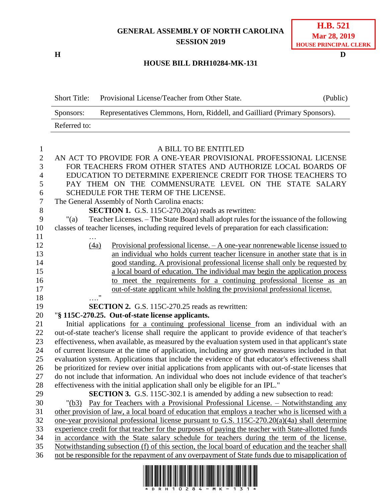## **GENERAL ASSEMBLY OF NORTH CAROLINA SESSION 2019**

**H D**

## **HOUSE BILL DRH10284-MK-131**

| Short Title: | Provisional License/Teacher from Other State.                              | (Public) |
|--------------|----------------------------------------------------------------------------|----------|
| Sponsors:    | Representatives Clemmons, Horn, Riddell, and Gailliard (Primary Sponsors). |          |
| Referred to: |                                                                            |          |

| $\mathbf{1}$   | A BILL TO BE ENTITLED                                                                                                                                                                                 |
|----------------|-------------------------------------------------------------------------------------------------------------------------------------------------------------------------------------------------------|
| $\overline{2}$ | AN ACT TO PROVIDE FOR A ONE-YEAR PROVISIONAL PROFESSIONAL LICENSE                                                                                                                                     |
| $\overline{3}$ | FOR TEACHERS FROM OTHER STATES AND AUTHORIZE LOCAL BOARDS OF                                                                                                                                          |
| $\overline{4}$ | EDUCATION TO DETERMINE EXPERIENCE CREDIT FOR THOSE TEACHERS TO                                                                                                                                        |
| 5              | PAY THEM ON THE COMMENSURATE LEVEL ON THE STATE SALARY                                                                                                                                                |
| 6              | SCHEDULE FOR THE TERM OF THE LICENSE.                                                                                                                                                                 |
| $\overline{7}$ | The General Assembly of North Carolina enacts:                                                                                                                                                        |
| 8              | <b>SECTION 1.</b> G.S. 115C-270.20(a) reads as rewritten:                                                                                                                                             |
| 9              | Teacher Licenses. - The State Board shall adopt rules for the issuance of the following<br>" $(a)$                                                                                                    |
| 10             | classes of teacher licenses, including required levels of preparation for each classification:                                                                                                        |
| 11             |                                                                                                                                                                                                       |
| 12             | (4a)<br>Provisional professional license. $- A$ one-year nonrenewable license issued to                                                                                                               |
| 13             | an individual who holds current teacher licensure in another state that is in                                                                                                                         |
| 14             | good standing. A provisional professional license shall only be requested by                                                                                                                          |
| 15             | a local board of education. The individual may begin the application process                                                                                                                          |
| 16             | to meet the requirements for a continuing professional license as an                                                                                                                                  |
| 17             | out-of-state applicant while holding the provisional professional license.                                                                                                                            |
| 18             | $^{\prime\prime}$                                                                                                                                                                                     |
| 19             | <b>SECTION 2.</b> G.S. 115C-270.25 reads as rewritten:                                                                                                                                                |
| 20             | "§ 115C-270.25. Out-of-state license applicants.                                                                                                                                                      |
| 21             | Initial applications for a continuing professional license from an individual with an                                                                                                                 |
| 22             | out-of-state teacher's license shall require the applicant to provide evidence of that teacher's                                                                                                      |
| 23             | effectiveness, when available, as measured by the evaluation system used in that applicant's state                                                                                                    |
| 24             | of current licensure at the time of application, including any growth measures included in that                                                                                                       |
| 25             | evaluation system. Applications that include the evidence of that educator's effectiveness shall                                                                                                      |
| 26             | be prioritized for review over initial applications from applicants with out-of-state licenses that                                                                                                   |
| 27             | do not include that information. An individual who does not include evidence of that teacher's                                                                                                        |
| 28             | effectiveness with the initial application shall only be eligible for an IPL."                                                                                                                        |
| 29             | <b>SECTION 3.</b> G.S. 115C-302.1 is amended by adding a new subsection to read:                                                                                                                      |
| 30             | Pay for Teachers with a Provisional Professional License. - Notwithstanding any<br>"(b3)                                                                                                              |
| 31             | other provision of law, a local board of education that employs a teacher who is licensed with a                                                                                                      |
|                | one-year provisional professional license pursuant to G.S. 115C-270.20(a)(4a) shall determine                                                                                                         |
| 32             |                                                                                                                                                                                                       |
| 33             | experience credit for that teacher for the purposes of paying the teacher with State-allotted funds                                                                                                   |
| 34             | in accordance with the State salary schedule for teachers during the term of the license.                                                                                                             |
| 35<br>36       | Notwithstanding subsection (f) of this section, the local board of education and the teacher shall<br>not be responsible for the repayment of any overpayment of State funds due to misapplication of |